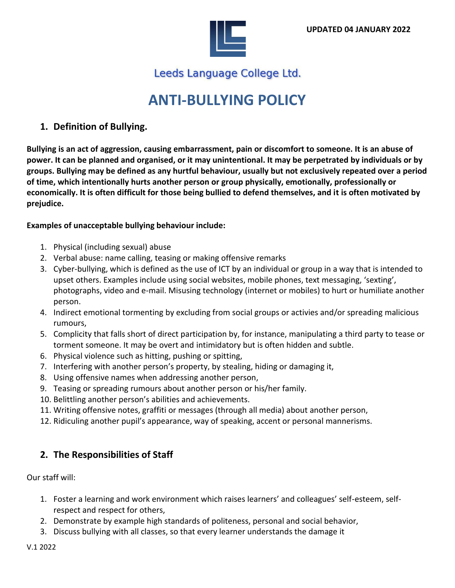

Leeds Language College Ltd.

# **ANTI-BULLYING POLICY**

## **1. Definition of Bullying.**

**Bullying is an act of aggression, causing embarrassment, pain or discomfort to someone. It is an abuse of power. It can be planned and organised, or it may unintentional. It may be perpetrated by individuals or by groups. Bullying may be defined as any hurtful behaviour, usually but not exclusively repeated over a period of time, which intentionally hurts another person or group physically, emotionally, professionally or economically. It is often difficult for those being bullied to defend themselves, and it is often motivated by prejudice.** 

#### **Examples of unacceptable bullying behaviour include:**

- 1. Physical (including sexual) abuse
- 2. Verbal abuse: name calling, teasing or making offensive remarks
- 3. Cyber-bullying, which is defined as the use of ICT by an individual or group in a way that is intended to upset others. Examples include using social websites, mobile phones, text messaging, 'sexting', photographs, video and e-mail. Misusing technology (internet or mobiles) to hurt or humiliate another person.
- 4. Indirect emotional tormenting by excluding from social groups or activies and/or spreading malicious rumours,
- 5. Complicity that falls short of direct participation by, for instance, manipulating a third party to tease or torment someone. It may be overt and intimidatory but is often hidden and subtle.
- 6. Physical violence such as hitting, pushing or spitting,
- 7. Interfering with another person's property, by stealing, hiding or damaging it,
- 8. Using offensive names when addressing another person,
- 9. Teasing or spreading rumours about another person or his/her family.
- 10. Belittling another person's abilities and achievements.
- 11. Writing offensive notes, graffiti or messages (through all media) about another person,
- 12. Ridiculing another pupil's appearance, way of speaking, accent or personal mannerisms.

## **2. The Responsibilities of Staff**

Our staff will:

- 1. Foster a learning and work environment which raises learners' and colleagues' self-esteem, selfrespect and respect for others,
- 2. Demonstrate by example high standards of politeness, personal and social behavior,
- 3. Discuss bullying with all classes, so that every learner understands the damage it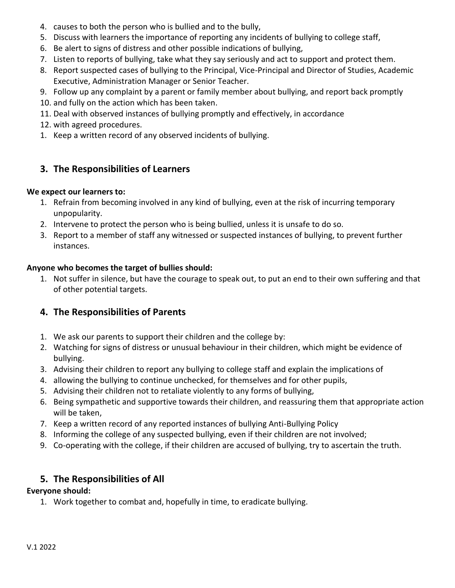- 4. causes to both the person who is bullied and to the bully,
- 5. Discuss with learners the importance of reporting any incidents of bullying to college staff,
- 6. Be alert to signs of distress and other possible indications of bullying,
- 7. Listen to reports of bullying, take what they say seriously and act to support and protect them.
- 8. Report suspected cases of bullying to the Principal, Vice-Principal and Director of Studies, Academic Executive, Administration Manager or Senior Teacher.
- 9. Follow up any complaint by a parent or family member about bullying, and report back promptly
- 10. and fully on the action which has been taken.
- 11. Deal with observed instances of bullying promptly and effectively, in accordance
- 12. with agreed procedures.
- 1. Keep a written record of any observed incidents of bullying.

# **3. The Responsibilities of Learners**

#### **We expect our learners to:**

- 1. Refrain from becoming involved in any kind of bullying, even at the risk of incurring temporary unpopularity.
- 2. Intervene to protect the person who is being bullied, unless it is unsafe to do so.
- 3. Report to a member of staff any witnessed or suspected instances of bullying, to prevent further instances.

#### **Anyone who becomes the target of bullies should:**

1. Not suffer in silence, but have the courage to speak out, to put an end to their own suffering and that of other potential targets.

## **4. The Responsibilities of Parents**

- 1. We ask our parents to support their children and the college by:
- 2. Watching for signs of distress or unusual behaviour in their children, which might be evidence of bullying.
- 3. Advising their children to report any bullying to college staff and explain the implications of
- 4. allowing the bullying to continue unchecked, for themselves and for other pupils,
- 5. Advising their children not to retaliate violently to any forms of bullying,
- 6. Being sympathetic and supportive towards their children, and reassuring them that appropriate action will be taken,
- 7. Keep a written record of any reported instances of bullying Anti-Bullying Policy
- 8. Informing the college of any suspected bullying, even if their children are not involved;
- 9. Co-operating with the college, if their children are accused of bullying, try to ascertain the truth.

## **5. The Responsibilities of All**

#### **Everyone should:**

1. Work together to combat and, hopefully in time, to eradicate bullying.